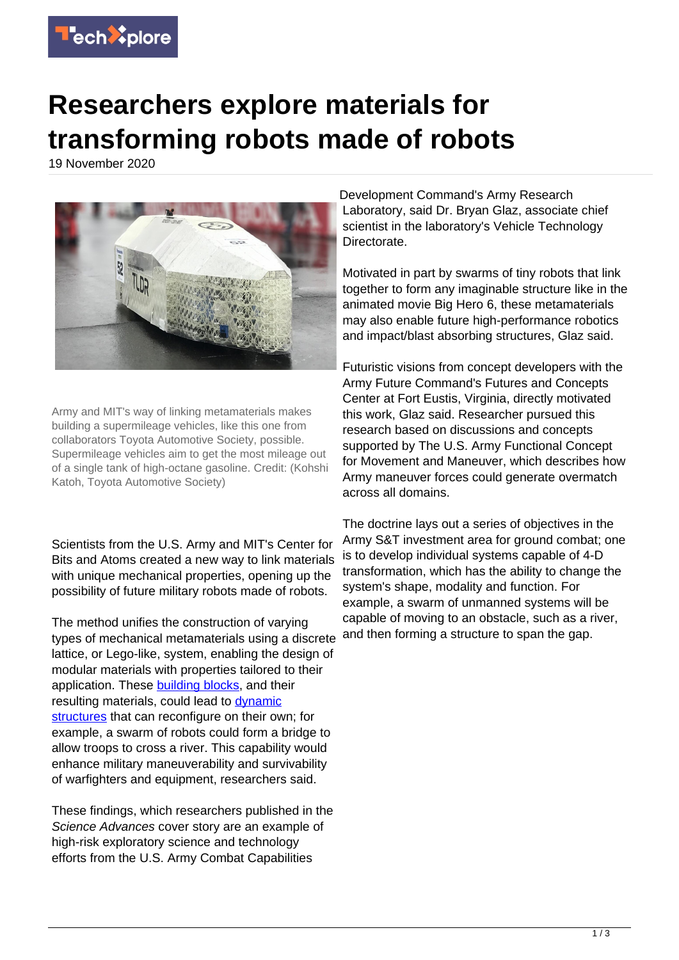

## **Researchers explore materials for transforming robots made of robots**

19 November 2020



Army and MIT's way of linking metamaterials makes building a supermileage vehicles, like this one from collaborators Toyota Automotive Society, possible. Supermileage vehicles aim to get the most mileage out of a single tank of high-octane gasoline. Credit: (Kohshi Katoh, Toyota Automotive Society)

Scientists from the U.S. Army and MIT's Center for Bits and Atoms created a new way to link materials with unique mechanical properties, opening up the possibility of future military robots made of robots.

The method unifies the construction of varying types of mechanical metamaterials using a discrete lattice, or Lego-like, system, enabling the design of modular materials with properties tailored to their application. These [building blocks,](https://techxplore.com/tags/building+blocks/) and their resulting materials, could lead to [dynamic](https://techxplore.com/tags/dynamic+structures/) [structures](https://techxplore.com/tags/dynamic+structures/) that can reconfigure on their own; for example, a swarm of robots could form a bridge to allow troops to cross a river. This capability would enhance military maneuverability and survivability of warfighters and equipment, researchers said.

These findings, which researchers published in the Science Advances cover story are an example of high-risk exploratory science and technology efforts from the U.S. Army Combat Capabilities

Development Command's Army Research Laboratory, said Dr. Bryan Glaz, associate chief scientist in the laboratory's Vehicle Technology Directorate.

Motivated in part by swarms of tiny robots that link together to form any imaginable structure like in the animated movie Big Hero 6, these metamaterials may also enable future high-performance robotics and impact/blast absorbing structures, Glaz said.

Futuristic visions from concept developers with the Army Future Command's Futures and Concepts Center at Fort Eustis, Virginia, directly motivated this work, Glaz said. Researcher pursued this research based on discussions and concepts supported by The U.S. Army Functional Concept for Movement and Maneuver, which describes how Army maneuver forces could generate overmatch across all domains.

The doctrine lays out a series of objectives in the Army S&T investment area for ground combat; one is to develop individual systems capable of 4-D transformation, which has the ability to change the system's shape, modality and function. For example, a swarm of unmanned systems will be capable of moving to an obstacle, such as a river, and then forming a structure to span the gap.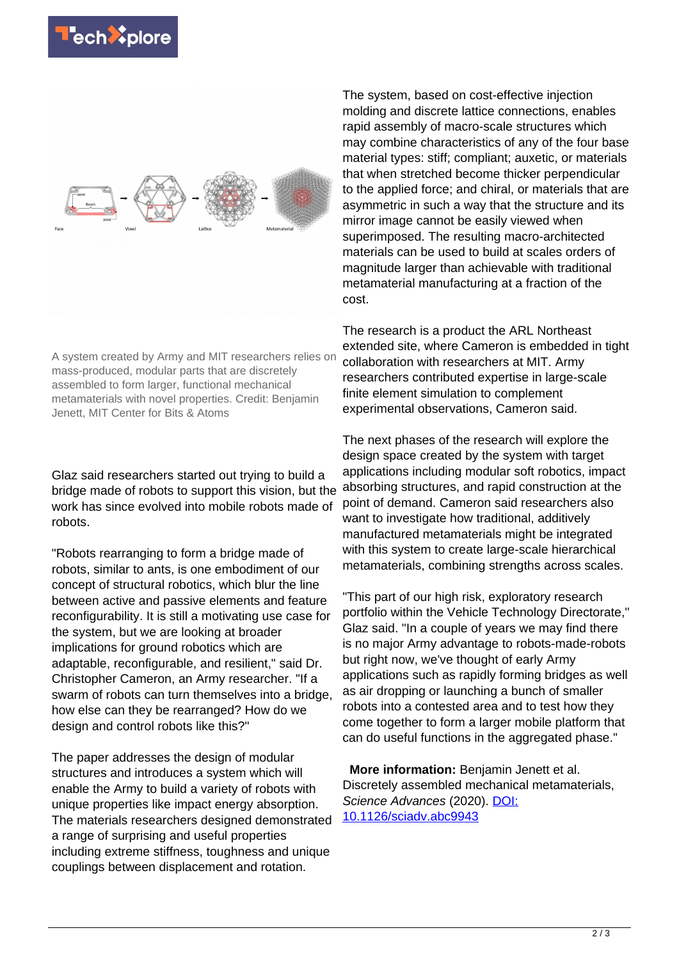

A system created by Army and MIT researchers relies on mass-produced, modular parts that are discretely assembled to form larger, functional mechanical metamaterials with novel properties. Credit: Benjamin Jenett, MIT Center for Bits & Atoms

Glaz said researchers started out trying to build a bridge made of robots to support this vision, but the work has since evolved into mobile robots made of robots.

"Robots rearranging to form a bridge made of robots, similar to ants, is one embodiment of our concept of structural robotics, which blur the line between active and passive elements and feature reconfigurability. It is still a motivating use case for the system, but we are looking at broader implications for ground robotics which are adaptable, reconfigurable, and resilient," said Dr. Christopher Cameron, an Army researcher. "If a swarm of robots can turn themselves into a bridge, how else can they be rearranged? How do we design and control robots like this?"

The paper addresses the design of modular structures and introduces a system which will enable the Army to build a variety of robots with unique properties like impact energy absorption. The materials researchers designed demonstrated a range of surprising and useful properties including extreme stiffness, toughness and unique couplings between displacement and rotation.

The system, based on cost-effective injection molding and discrete lattice connections, enables rapid assembly of macro-scale structures which may combine characteristics of any of the four base material types: stiff; compliant; auxetic, or materials that when stretched become thicker perpendicular to the applied force; and chiral, or materials that are asymmetric in such a way that the structure and its mirror image cannot be easily viewed when superimposed. The resulting macro-architected materials can be used to build at scales orders of magnitude larger than achievable with traditional metamaterial manufacturing at a fraction of the cost.

The research is a product the ARL Northeast extended site, where Cameron is embedded in tight collaboration with researchers at MIT. Army researchers contributed expertise in large-scale finite element simulation to complement experimental observations, Cameron said.

The next phases of the research will explore the design space created by the system with target applications including modular soft robotics, impact absorbing structures, and rapid construction at the point of demand. Cameron said researchers also want to investigate how traditional, additively manufactured metamaterials might be integrated with this system to create large-scale hierarchical metamaterials, combining strengths across scales.

"This part of our high risk, exploratory research portfolio within the Vehicle Technology Directorate," Glaz said. "In a couple of years we may find there is no major Army advantage to robots-made-robots but right now, we've thought of early Army applications such as rapidly forming bridges as well as air dropping or launching a bunch of smaller robots into a contested area and to test how they come together to form a larger mobile platform that can do useful functions in the aggregated phase."

 **More information:** Benjamin Jenett et al. Discretely assembled mechanical metamaterials, Science Advances (2020). [DOI:](http://dx.doi.org/10.1126/sciadv.abc9943) [10.1126/sciadv.abc9943](http://dx.doi.org/10.1126/sciadv.abc9943)